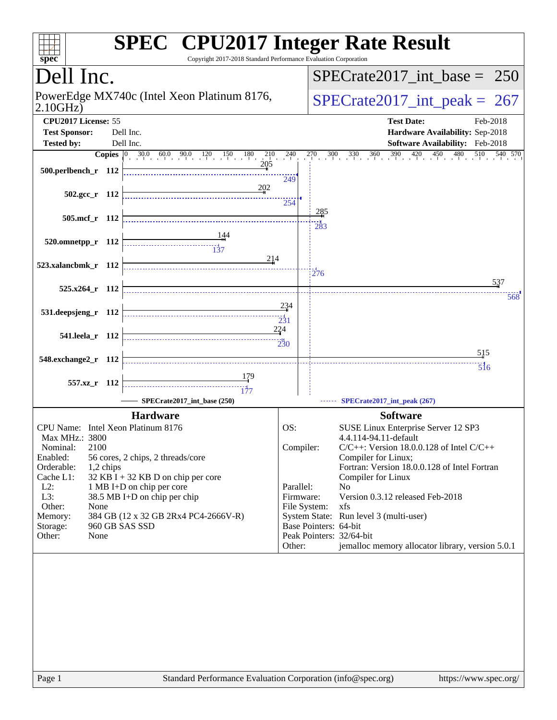| spec <sup>®</sup>                                       | <b>SPEC<sup>®</sup></b> CPU2017 Integer Rate Result<br>Copyright 2017-2018 Standard Performance Evaluation Corporation                                                                                                                                                                                                                                                                                                                                                                  |                           |                       |                                                                     |
|---------------------------------------------------------|-----------------------------------------------------------------------------------------------------------------------------------------------------------------------------------------------------------------------------------------------------------------------------------------------------------------------------------------------------------------------------------------------------------------------------------------------------------------------------------------|---------------------------|-----------------------|---------------------------------------------------------------------|
| Dell Inc.                                               |                                                                                                                                                                                                                                                                                                                                                                                                                                                                                         |                           |                       | $SPECTate2017\_int\_base = 250$                                     |
| PowerEdge MX740c (Intel Xeon Platinum 8176,<br>2.10GHz) |                                                                                                                                                                                                                                                                                                                                                                                                                                                                                         |                           |                       | $SPECrate2017\_int\_peak = 267$                                     |
| CPU2017 License: 55<br><b>Test Sponsor:</b>             | Dell Inc.                                                                                                                                                                                                                                                                                                                                                                                                                                                                               |                           |                       | <b>Test Date:</b><br>Feb-2018<br>Hardware Availability: Sep-2018    |
| <b>Tested by:</b>                                       | Dell Inc.                                                                                                                                                                                                                                                                                                                                                                                                                                                                               |                           |                       | Software Availability: Feb-2018                                     |
|                                                         | <b>Copies</b> $\begin{bmatrix} 0 & 30.0 & 60.0 & 90.0 & 120 & 150 & 180 & 210 & 240 \ 111 & 20 & 20.0 & 240 & 20.0 & 20.0 & 20.0 & 20.0 & 20.0 & 20.0 & 20.0 & 20.0 & 20.0 & 20.0 & 20.0 & 20.0 & 20.0 & 20.0 & 20.0 & 20.0 & 20.0 & 20.0 & 20.0 & 20.0 & 20.0 & 20.0 & 20.0 & $                                                                                                                                                                                                        |                           |                       | $270$ $300$ $330$ $360$ $390$ $420$ $450$<br>480<br>510<br>540 570  |
| 500.perlbench_r 112                                     |                                                                                                                                                                                                                                                                                                                                                                                                                                                                                         | 249                       |                       |                                                                     |
| $502.\text{gcc r}$ 112                                  | 202                                                                                                                                                                                                                                                                                                                                                                                                                                                                                     | 254                       |                       |                                                                     |
| 505.mcf_r 112                                           |                                                                                                                                                                                                                                                                                                                                                                                                                                                                                         |                           | 285                   |                                                                     |
| $520.0$ mnetpp_r 112                                    |                                                                                                                                                                                                                                                                                                                                                                                                                                                                                         |                           | 283                   |                                                                     |
|                                                         | $\begin{array}{c}\n\overbrace{\phantom{133}}\n\overbrace{\phantom{133}}\n\overbrace{\phantom{133}}\n\overbrace{\phantom{133}}\n\overbrace{\phantom{133}}\n\overbrace{\phantom{133}}\n\overbrace{\phantom{133}}\n\overbrace{\phantom{133}}\n\overbrace{\phantom{133}}\n\overbrace{\phantom{133}}\n\overbrace{\phantom{133}}\n\overbrace{\phantom{133}}\n\overbrace{\phantom{133}}\n\overbrace{\phantom{133}}\n\overbrace{\phantom{133}}\n\overbrace{\phantom{133}}\n\overbrace{\$<br>214 |                           |                       |                                                                     |
| 523.xalancbmk_r 112                                     |                                                                                                                                                                                                                                                                                                                                                                                                                                                                                         |                           | 276                   |                                                                     |
| 525.x264_r 112                                          |                                                                                                                                                                                                                                                                                                                                                                                                                                                                                         |                           |                       | 537<br>568                                                          |
| 531.deepsjeng_r 112                                     |                                                                                                                                                                                                                                                                                                                                                                                                                                                                                         | 234<br>$\overline{231}$   |                       |                                                                     |
| 541.leela_r 112                                         |                                                                                                                                                                                                                                                                                                                                                                                                                                                                                         | 224                       |                       |                                                                     |
| 548.exchange2_r 112                                     |                                                                                                                                                                                                                                                                                                                                                                                                                                                                                         |                           |                       | $\frac{515}{5}$<br>$\overline{5}$ <sup>16</sup>                     |
| 557.xz_r 112                                            |                                                                                                                                                                                                                                                                                                                                                                                                                                                                                         |                           |                       |                                                                     |
|                                                         | SPECrate2017_int_base (250)                                                                                                                                                                                                                                                                                                                                                                                                                                                             |                           |                       | SPECrate2017_int_peak (267)                                         |
|                                                         | <b>Hardware</b>                                                                                                                                                                                                                                                                                                                                                                                                                                                                         |                           |                       | <b>Software</b>                                                     |
| CPU Name: Intel Xeon Platinum 8176                      |                                                                                                                                                                                                                                                                                                                                                                                                                                                                                         | OS:                       |                       | SUSE Linux Enterprise Server 12 SP3                                 |
| Max MHz.: 3800                                          |                                                                                                                                                                                                                                                                                                                                                                                                                                                                                         |                           |                       | 4.4.114-94.11-default                                               |
| 2100<br>Nominal:                                        |                                                                                                                                                                                                                                                                                                                                                                                                                                                                                         | Compiler:                 |                       | $C/C++$ : Version 18.0.0.128 of Intel $C/C++$                       |
| Enabled:<br>Orderable:<br>1,2 chips                     | 56 cores, 2 chips, 2 threads/core                                                                                                                                                                                                                                                                                                                                                                                                                                                       |                           |                       | Compiler for Linux;<br>Fortran: Version 18.0.0.128 of Intel Fortran |
| Cache L1:                                               | $32$ KB I + 32 KB D on chip per core                                                                                                                                                                                                                                                                                                                                                                                                                                                    |                           |                       | Compiler for Linux                                                  |
| $L2$ :                                                  | 1 MB I+D on chip per core                                                                                                                                                                                                                                                                                                                                                                                                                                                               | Parallel:                 |                       | N <sub>0</sub>                                                      |
| L3:<br>Other:<br>None                                   | 38.5 MB I+D on chip per chip                                                                                                                                                                                                                                                                                                                                                                                                                                                            | Firmware:<br>File System: |                       | Version 0.3.12 released Feb-2018<br>xfs                             |
| Memory:                                                 | 384 GB (12 x 32 GB 2Rx4 PC4-2666V-R)                                                                                                                                                                                                                                                                                                                                                                                                                                                    |                           |                       | System State: Run level 3 (multi-user)                              |
| Storage:                                                | 960 GB SAS SSD                                                                                                                                                                                                                                                                                                                                                                                                                                                                          |                           | Base Pointers: 64-bit |                                                                     |
| Other:<br>None                                          |                                                                                                                                                                                                                                                                                                                                                                                                                                                                                         |                           |                       | Peak Pointers: 32/64-bit                                            |
|                                                         |                                                                                                                                                                                                                                                                                                                                                                                                                                                                                         | Other:                    |                       | jemalloc memory allocator library, version 5.0.1                    |
|                                                         |                                                                                                                                                                                                                                                                                                                                                                                                                                                                                         |                           |                       |                                                                     |
|                                                         |                                                                                                                                                                                                                                                                                                                                                                                                                                                                                         |                           |                       |                                                                     |
| $D_{0}$ on 1                                            | $\alpha$ Condard Darformance Evaluation Corporation (info@spac.org)                                                                                                                                                                                                                                                                                                                                                                                                                     |                           |                       | http://www.600 oro/                                                 |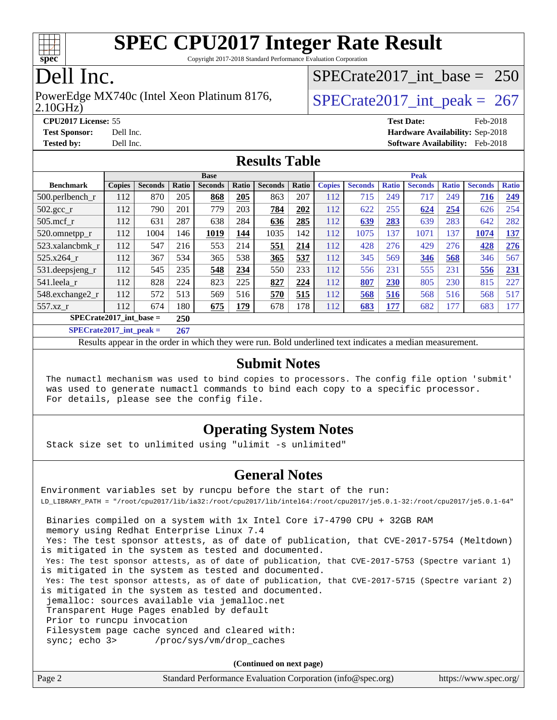

Copyright 2017-2018 Standard Performance Evaluation Corporation

### Dell Inc.

#### 2.10GHz) PowerEdge MX740c (Intel Xeon Platinum 8176,  $\vert$  [SPECrate2017\\_int\\_peak =](http://www.spec.org/auto/cpu2017/Docs/result-fields.html#SPECrate2017intpeak) 267

[SPECrate2017\\_int\\_base =](http://www.spec.org/auto/cpu2017/Docs/result-fields.html#SPECrate2017intbase) 250

**[CPU2017 License:](http://www.spec.org/auto/cpu2017/Docs/result-fields.html#CPU2017License)** 55 **Test** 

| <b>CPU2017 License: 55</b> |           | <b>Test Date:</b>                      | Feb-2018 |
|----------------------------|-----------|----------------------------------------|----------|
| <b>Test Sponsor:</b>       | Dell Inc. | <b>Hardware Availability: Sep-2018</b> |          |
| <b>Tested by:</b>          | Dell Inc. | <b>Software Availability:</b> Feb-2018 |          |

### **[Results Table](http://www.spec.org/auto/cpu2017/Docs/result-fields.html#ResultsTable)**

| <b>Base</b>                |               |                |                           |                | <b>Peak</b> |                |       |               |                |              |                |              |                |              |
|----------------------------|---------------|----------------|---------------------------|----------------|-------------|----------------|-------|---------------|----------------|--------------|----------------|--------------|----------------|--------------|
| <b>Benchmark</b>           | <b>Copies</b> | <b>Seconds</b> | Ratio                     | <b>Seconds</b> | Ratio       | <b>Seconds</b> | Ratio | <b>Copies</b> | <b>Seconds</b> | <b>Ratio</b> | <b>Seconds</b> | <b>Ratio</b> | <b>Seconds</b> | <b>Ratio</b> |
| 500.perlbench_r            | 112           | 870            | 205                       | 868            | 205         | 863            | 207   | 112           | 715            | 249          | 717            | 249          | 716            | 249          |
| 502.gcc_r                  | 112           | 790            | 201                       | 779            | 203         | 784            | 202   | 112           | 622            | 255          | 624            | 254          | 626            | 254          |
| $505$ .mcf r               | 112           | 631            | 287                       | 638            | 284         | 636            | 285   | 112           | 639            | 283          | 639            | 283          | 642            | 282          |
| 520.omnetpp_r              | 112           | 1004           | 146                       | 1019           | 144         | 1035           | 142   | 112           | 1075           | 137          | 1071           | 137          | 1074           | <u>137</u>   |
| 523.xalancbmk r            | 112           | 547            | 216                       | 553            | 214         | 551            | 214   | 112           | 428            | 276          | 429            | 276          | 428            | 276          |
| 525.x264 r                 | 112           | 367            | 534                       | 365            | 538         | 365            | 537   | 112           | 345            | 569          | 346            | 568          | 346            | 567          |
| $531.$ deepsjeng $_r$      | 112           | 545            | 235                       | 548            | 234         | 550            | 233   | 112           | 556            | 231          | 555            | 231          | 556            | 231          |
| 541.leela r                | 112           | 828            | 224                       | 823            | 225         | 827            | 224   | 112           | 807            | 230          | 805            | 230          | 815            | 227          |
| 548.exchange2_r            | 112           | 572            | 513                       | 569            | 516         | 570            | 515   | 112           | 568            | 516          | 568            | 516          | 568            | 517          |
| 557.xz r                   | 112           | 674            | 180                       | 675            | 179         | 678            | 178   | 112           | 683            | 177          | 682            | 177          | 683            | 177          |
| $SPECrate2017$ int base =  |               |                | 250                       |                |             |                |       |               |                |              |                |              |                |              |
| $CDFCsoft2017 int model =$ |               |                | $\Delta$ $\epsilon$ $\pi$ |                |             |                |       |               |                |              |                |              |                |              |

**[SPECrate2017\\_int\\_peak =](http://www.spec.org/auto/cpu2017/Docs/result-fields.html#SPECrate2017intpeak) 267**

Results appear in the [order in which they were run](http://www.spec.org/auto/cpu2017/Docs/result-fields.html#RunOrder). Bold underlined text [indicates a median measurement](http://www.spec.org/auto/cpu2017/Docs/result-fields.html#Median).

#### **[Submit Notes](http://www.spec.org/auto/cpu2017/Docs/result-fields.html#SubmitNotes)**

 The numactl mechanism was used to bind copies to processors. The config file option 'submit' was used to generate numactl commands to bind each copy to a specific processor. For details, please see the config file.

### **[Operating System Notes](http://www.spec.org/auto/cpu2017/Docs/result-fields.html#OperatingSystemNotes)**

Stack size set to unlimited using "ulimit -s unlimited"

#### **[General Notes](http://www.spec.org/auto/cpu2017/Docs/result-fields.html#GeneralNotes)**

Environment variables set by runcpu before the start of the run: LD\_LIBRARY\_PATH = "/root/cpu2017/lib/ia32:/root/cpu2017/lib/intel64:/root/cpu2017/je5.0.1-32:/root/cpu2017/je5.0.1-64" Binaries compiled on a system with 1x Intel Core i7-4790 CPU + 32GB RAM memory using Redhat Enterprise Linux 7.4 Yes: The test sponsor attests, as of date of publication, that CVE-2017-5754 (Meltdown) is mitigated in the system as tested and documented. Yes: The test sponsor attests, as of date of publication, that CVE-2017-5753 (Spectre variant 1) is mitigated in the system as tested and documented. Yes: The test sponsor attests, as of date of publication, that CVE-2017-5715 (Spectre variant 2) is mitigated in the system as tested and documented. jemalloc: sources available via jemalloc.net Transparent Huge Pages enabled by default Prior to runcpu invocation Filesystem page cache synced and cleared with: sync; echo 3> /proc/sys/vm/drop\_caches

**(Continued on next page)**

| Page 2<br>Standard Performance Evaluation Corporation (info@spec.org) |  | https://www.spec.org/ |
|-----------------------------------------------------------------------|--|-----------------------|
|-----------------------------------------------------------------------|--|-----------------------|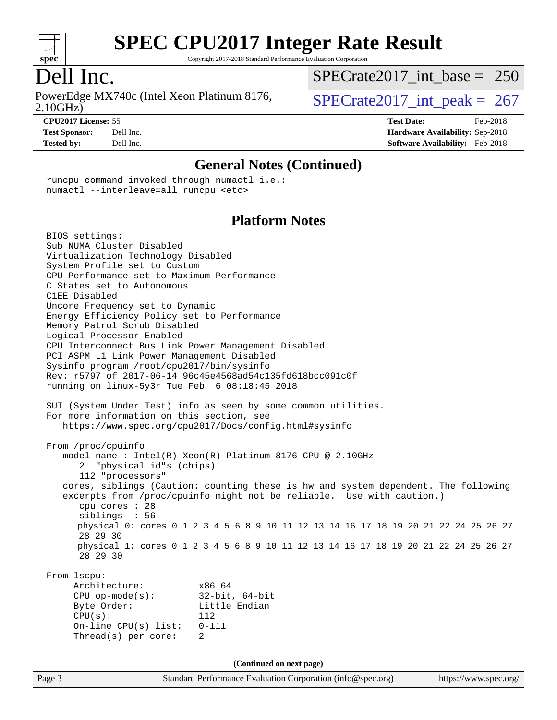

Copyright 2017-2018 Standard Performance Evaluation Corporation

### Dell Inc.

2.10GHz) PowerEdge MX740c (Intel Xeon Platinum 8176,  $\vert$  [SPECrate2017\\_int\\_peak =](http://www.spec.org/auto/cpu2017/Docs/result-fields.html#SPECrate2017intpeak) 267

[SPECrate2017\\_int\\_base =](http://www.spec.org/auto/cpu2017/Docs/result-fields.html#SPECrate2017intbase) 250

**[CPU2017 License:](http://www.spec.org/auto/cpu2017/Docs/result-fields.html#CPU2017License)** 55 **[Test Date:](http://www.spec.org/auto/cpu2017/Docs/result-fields.html#TestDate)** Feb-2018 **[Test Sponsor:](http://www.spec.org/auto/cpu2017/Docs/result-fields.html#TestSponsor)** Dell Inc. **[Hardware Availability:](http://www.spec.org/auto/cpu2017/Docs/result-fields.html#HardwareAvailability)** Sep-2018 **[Tested by:](http://www.spec.org/auto/cpu2017/Docs/result-fields.html#Testedby)** Dell Inc. **[Software Availability:](http://www.spec.org/auto/cpu2017/Docs/result-fields.html#SoftwareAvailability)** Feb-2018

#### **[General Notes \(Continued\)](http://www.spec.org/auto/cpu2017/Docs/result-fields.html#GeneralNotes)**

 runcpu command invoked through numactl i.e.: numactl --interleave=all runcpu <etc>

### **[Platform Notes](http://www.spec.org/auto/cpu2017/Docs/result-fields.html#PlatformNotes)**

Page 3 Standard Performance Evaluation Corporation [\(info@spec.org\)](mailto:info@spec.org) <https://www.spec.org/> BIOS settings: Sub NUMA Cluster Disabled Virtualization Technology Disabled System Profile set to Custom CPU Performance set to Maximum Performance C States set to Autonomous C1EE Disabled Uncore Frequency set to Dynamic Energy Efficiency Policy set to Performance Memory Patrol Scrub Disabled Logical Processor Enabled CPU Interconnect Bus Link Power Management Disabled PCI ASPM L1 Link Power Management Disabled Sysinfo program /root/cpu2017/bin/sysinfo Rev: r5797 of 2017-06-14 96c45e4568ad54c135fd618bcc091c0f running on linux-5y3r Tue Feb 6 08:18:45 2018 SUT (System Under Test) info as seen by some common utilities. For more information on this section, see <https://www.spec.org/cpu2017/Docs/config.html#sysinfo> From /proc/cpuinfo model name : Intel(R) Xeon(R) Platinum 8176 CPU @ 2.10GHz 2 "physical id"s (chips) 112 "processors" cores, siblings (Caution: counting these is hw and system dependent. The following excerpts from /proc/cpuinfo might not be reliable. Use with caution.) cpu cores : 28 siblings : 56 physical 0: cores 0 1 2 3 4 5 6 8 9 10 11 12 13 14 16 17 18 19 20 21 22 24 25 26 27 28 29 30 physical 1: cores 0 1 2 3 4 5 6 8 9 10 11 12 13 14 16 17 18 19 20 21 22 24 25 26 27 28 29 30 From lscpu: Architecture: x86\_64 CPU op-mode(s): 32-bit, 64-bit Byte Order: Little Endian CPU(s): 112 On-line CPU(s) list: 0-111 Thread(s) per core: 2 **(Continued on next page)**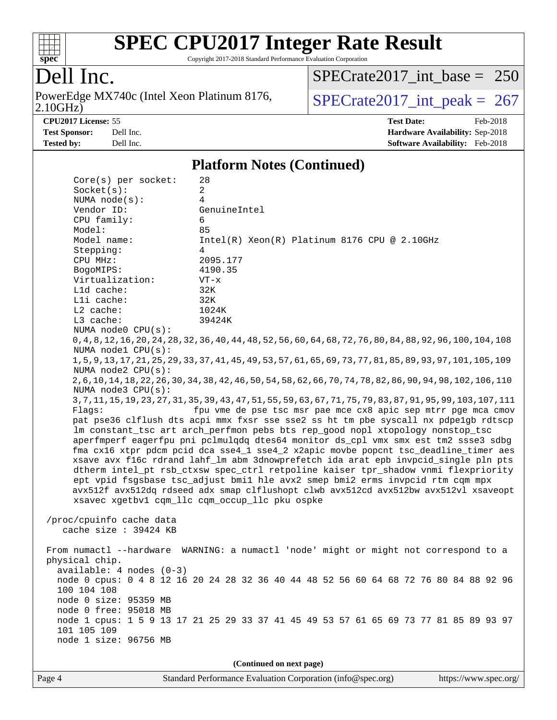

Copyright 2017-2018 Standard Performance Evaluation Corporation

### Dell Inc.

2.10GHz) PowerEdge MX740c (Intel Xeon Platinum 8176,  $\overline{SPECrate2017\_int\_peak} = 267$ 

[SPECrate2017\\_int\\_base =](http://www.spec.org/auto/cpu2017/Docs/result-fields.html#SPECrate2017intbase) 250

**[CPU2017 License:](http://www.spec.org/auto/cpu2017/Docs/result-fields.html#CPU2017License)** 55 **[Test Date:](http://www.spec.org/auto/cpu2017/Docs/result-fields.html#TestDate)** Feb-2018 **[Test Sponsor:](http://www.spec.org/auto/cpu2017/Docs/result-fields.html#TestSponsor)** Dell Inc. **[Hardware Availability:](http://www.spec.org/auto/cpu2017/Docs/result-fields.html#HardwareAvailability)** Sep-2018 **[Tested by:](http://www.spec.org/auto/cpu2017/Docs/result-fields.html#Testedby)** Dell Inc. **[Software Availability:](http://www.spec.org/auto/cpu2017/Docs/result-fields.html#SoftwareAvailability)** Feb-2018

#### **[Platform Notes \(Continued\)](http://www.spec.org/auto/cpu2017/Docs/result-fields.html#PlatformNotes)**

| $Core(s)$ per socket:                                                                | 28                                                                                                              |  |  |  |  |  |  |
|--------------------------------------------------------------------------------------|-----------------------------------------------------------------------------------------------------------------|--|--|--|--|--|--|
| Socket(s):                                                                           | $\overline{a}$                                                                                                  |  |  |  |  |  |  |
| NUMA $node(s):$                                                                      | 4                                                                                                               |  |  |  |  |  |  |
| Vendor ID:                                                                           | GenuineIntel                                                                                                    |  |  |  |  |  |  |
| CPU family:                                                                          | 6                                                                                                               |  |  |  |  |  |  |
| Model:                                                                               | 85                                                                                                              |  |  |  |  |  |  |
| Model name:                                                                          | $Intel(R) Xeon(R) Platinum 8176 CPU @ 2.10GHz$                                                                  |  |  |  |  |  |  |
| Stepping:                                                                            | 4                                                                                                               |  |  |  |  |  |  |
| CPU MHz:                                                                             | 2095.177                                                                                                        |  |  |  |  |  |  |
| BogoMIPS:                                                                            | 4190.35                                                                                                         |  |  |  |  |  |  |
| Virtualization:                                                                      | $VT - x$                                                                                                        |  |  |  |  |  |  |
| Lld cache:                                                                           | 32K                                                                                                             |  |  |  |  |  |  |
| Lli cache:                                                                           | 32K                                                                                                             |  |  |  |  |  |  |
| $L2$ cache:                                                                          | 1024K                                                                                                           |  |  |  |  |  |  |
| L3 cache:                                                                            | 39424K                                                                                                          |  |  |  |  |  |  |
| NUMA node0 CPU(s):                                                                   |                                                                                                                 |  |  |  |  |  |  |
| NUMA nodel CPU(s):                                                                   | 0, 4, 8, 12, 16, 20, 24, 28, 32, 36, 40, 44, 48, 52, 56, 60, 64, 68, 72, 76, 80, 84, 88, 92, 96, 100, 104, 108  |  |  |  |  |  |  |
| NUMA $node2$ $CPU(s):$                                                               | 1, 5, 9, 13, 17, 21, 25, 29, 33, 37, 41, 45, 49, 53, 57, 61, 65, 69, 73, 77, 81, 85, 89, 93, 97, 101, 105, 109  |  |  |  |  |  |  |
|                                                                                      | 2, 6, 10, 14, 18, 22, 26, 30, 34, 38, 42, 46, 50, 54, 58, 62, 66, 70, 74, 78, 82, 86, 90, 94, 98, 102, 106, 110 |  |  |  |  |  |  |
| NUMA $node3$ $CPU(s)$ :                                                              |                                                                                                                 |  |  |  |  |  |  |
|                                                                                      | 3, 7, 11, 15, 19, 23, 27, 31, 35, 39, 43, 47, 51, 55, 59, 63, 67, 71, 75, 79, 83, 87, 91, 95, 99, 103, 107, 111 |  |  |  |  |  |  |
| Flaqs:                                                                               | fpu vme de pse tsc msr pae mce cx8 apic sep mtrr pge mca cmov                                                   |  |  |  |  |  |  |
|                                                                                      | pat pse36 clflush dts acpi mmx fxsr sse sse2 ss ht tm pbe syscall nx pdpe1gb rdtscp                             |  |  |  |  |  |  |
| lm constant_tsc art arch_perfmon pebs bts rep_good nopl xtopology nonstop_tsc        |                                                                                                                 |  |  |  |  |  |  |
| aperfmperf eagerfpu pni pclmulqdq dtes64 monitor ds_cpl vmx smx est tm2 ssse3 sdbg   |                                                                                                                 |  |  |  |  |  |  |
| fma cx16 xtpr pdcm pcid dca sse4_1 sse4_2 x2apic movbe popcnt tsc_deadline_timer aes |                                                                                                                 |  |  |  |  |  |  |
| xsave avx f16c rdrand lahf_lm abm 3dnowprefetch ida arat epb invpcid_single pln pts  |                                                                                                                 |  |  |  |  |  |  |
| dtherm intel_pt rsb_ctxsw spec_ctrl retpoline kaiser tpr_shadow vnmi flexpriority    |                                                                                                                 |  |  |  |  |  |  |
| ept vpid fsgsbase tsc_adjust bmil hle avx2 smep bmi2 erms invpcid rtm cqm mpx        |                                                                                                                 |  |  |  |  |  |  |
| avx512f avx512dq rdseed adx smap clflushopt clwb avx512cd avx512bw avx512vl xsaveopt |                                                                                                                 |  |  |  |  |  |  |
| xsavec xgetbv1 cqm_llc cqm_occup_llc pku ospke                                       |                                                                                                                 |  |  |  |  |  |  |
| /proc/cpuinfo cache data                                                             |                                                                                                                 |  |  |  |  |  |  |
| cache size : 39424 KB                                                                |                                                                                                                 |  |  |  |  |  |  |
|                                                                                      |                                                                                                                 |  |  |  |  |  |  |
|                                                                                      | From numactl --hardware WARNING: a numactl 'node' might or might not correspond to a                            |  |  |  |  |  |  |
| physical chip.                                                                       |                                                                                                                 |  |  |  |  |  |  |
| $available: 4 nodes (0-3)$                                                           |                                                                                                                 |  |  |  |  |  |  |
|                                                                                      | node 0 cpus: 0 4 8 12 16 20 24 28 32 36 40 44 48 52 56 60 64 68 72 76 80 84 88 92 96                            |  |  |  |  |  |  |
| 100 104 108                                                                          |                                                                                                                 |  |  |  |  |  |  |
| node 0 size: 95359 MB                                                                |                                                                                                                 |  |  |  |  |  |  |
| node 0 free: 95018 MB                                                                |                                                                                                                 |  |  |  |  |  |  |
|                                                                                      | node 1 cpus: 1 5 9 13 17 21 25 29 33 37 41 45 49 53 57 61 65 69 73 77 81 85 89 93 97                            |  |  |  |  |  |  |
| 101 105 109                                                                          |                                                                                                                 |  |  |  |  |  |  |
| node 1 size: 96756 MB                                                                |                                                                                                                 |  |  |  |  |  |  |
|                                                                                      |                                                                                                                 |  |  |  |  |  |  |
| (Continued on next page)                                                             |                                                                                                                 |  |  |  |  |  |  |
|                                                                                      |                                                                                                                 |  |  |  |  |  |  |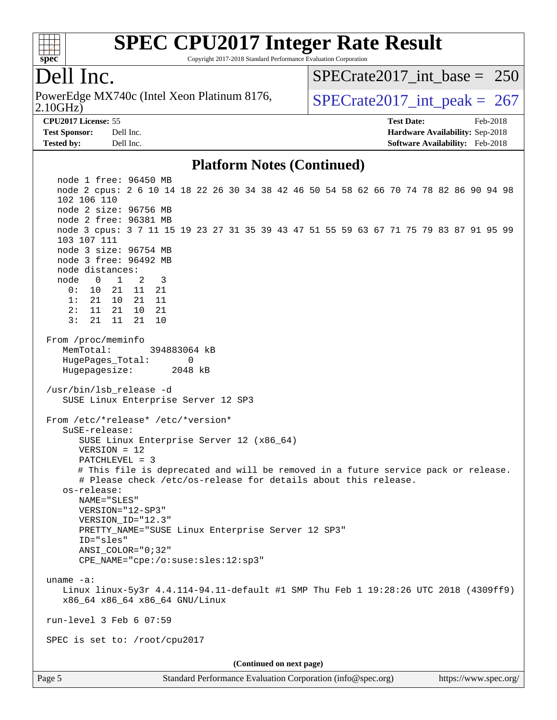

Copyright 2017-2018 Standard Performance Evaluation Corporation

### Dell Inc.

2.10GHz) PowerEdge MX740c (Intel Xeon Platinum 8176,  $\vert$  [SPECrate2017\\_int\\_peak =](http://www.spec.org/auto/cpu2017/Docs/result-fields.html#SPECrate2017intpeak) 267

[SPECrate2017\\_int\\_base =](http://www.spec.org/auto/cpu2017/Docs/result-fields.html#SPECrate2017intbase) 250

**[Tested by:](http://www.spec.org/auto/cpu2017/Docs/result-fields.html#Testedby)** Dell Inc. **[Software Availability:](http://www.spec.org/auto/cpu2017/Docs/result-fields.html#SoftwareAvailability)** Feb-2018

**[CPU2017 License:](http://www.spec.org/auto/cpu2017/Docs/result-fields.html#CPU2017License)** 55 **[Test Date:](http://www.spec.org/auto/cpu2017/Docs/result-fields.html#TestDate)** Feb-2018 **[Test Sponsor:](http://www.spec.org/auto/cpu2017/Docs/result-fields.html#TestSponsor)** Dell Inc. **[Hardware Availability:](http://www.spec.org/auto/cpu2017/Docs/result-fields.html#HardwareAvailability)** Sep-2018

#### **[Platform Notes \(Continued\)](http://www.spec.org/auto/cpu2017/Docs/result-fields.html#PlatformNotes)**

Page 5 Standard Performance Evaluation Corporation [\(info@spec.org\)](mailto:info@spec.org) <https://www.spec.org/> node 1 free: 96450 MB node 2 cpus: 2 6 10 14 18 22 26 30 34 38 42 46 50 54 58 62 66 70 74 78 82 86 90 94 98 102 106 110 node 2 size: 96756 MB node 2 free: 96381 MB node 3 cpus: 3 7 11 15 19 23 27 31 35 39 43 47 51 55 59 63 67 71 75 79 83 87 91 95 99 103 107 111 node 3 size: 96754 MB node 3 free: 96492 MB node distances: node 0 1 2 3 0: 10 21 11 21 1: 21 10 21 11 2: 11 21 10 21 3: 21 11 21 10 From /proc/meminfo MemTotal: 394883064 kB HugePages\_Total: 0 Hugepagesize: 2048 kB /usr/bin/lsb\_release -d SUSE Linux Enterprise Server 12 SP3 From /etc/\*release\* /etc/\*version\* SuSE-release: SUSE Linux Enterprise Server 12 (x86\_64) VERSION = 12 PATCHLEVEL = 3 # This file is deprecated and will be removed in a future service pack or release. # Please check /etc/os-release for details about this release. os-release: NAME="SLES" VERSION="12-SP3" VERSION\_ID="12.3" PRETTY NAME="SUSE Linux Enterprise Server 12 SP3" ID="sles" ANSI\_COLOR="0;32" CPE\_NAME="cpe:/o:suse:sles:12:sp3" uname -a: Linux linux-5y3r 4.4.114-94.11-default #1 SMP Thu Feb 1 19:28:26 UTC 2018 (4309ff9) x86\_64 x86\_64 x86\_64 GNU/Linux run-level 3 Feb 6 07:59 SPEC is set to: /root/cpu2017 **(Continued on next page)**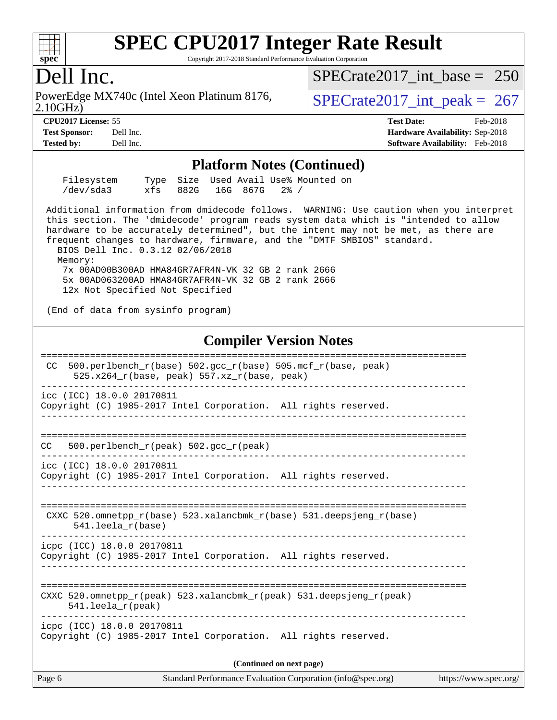#### $+\ +$ **[spec](http://www.spec.org/)**

# **[SPEC CPU2017 Integer Rate Result](http://www.spec.org/auto/cpu2017/Docs/result-fields.html#SPECCPU2017IntegerRateResult)**

Copyright 2017-2018 Standard Performance Evaluation Corporation

### Dell Inc.

PowerEdge MX740c (Intel Xeon Platinum 8176,<br>2.10GHz)

 $SPECTate 2017\_int\_peak = 267$ [SPECrate2017\\_int\\_base =](http://www.spec.org/auto/cpu2017/Docs/result-fields.html#SPECrate2017intbase) 250

**[CPU2017 License:](http://www.spec.org/auto/cpu2017/Docs/result-fields.html#CPU2017License)** 55 **[Test Date:](http://www.spec.org/auto/cpu2017/Docs/result-fields.html#TestDate)** Feb-2018 **[Test Sponsor:](http://www.spec.org/auto/cpu2017/Docs/result-fields.html#TestSponsor)** Dell Inc. **[Hardware Availability:](http://www.spec.org/auto/cpu2017/Docs/result-fields.html#HardwareAvailability)** Sep-2018 **[Tested by:](http://www.spec.org/auto/cpu2017/Docs/result-fields.html#Testedby)** Dell Inc. **[Software Availability:](http://www.spec.org/auto/cpu2017/Docs/result-fields.html#SoftwareAvailability)** Feb-2018

#### **[Platform Notes \(Continued\)](http://www.spec.org/auto/cpu2017/Docs/result-fields.html#PlatformNotes)**

| Filesystem |          |               | Type Size Used Avail Use% Mounted on |  |
|------------|----------|---------------|--------------------------------------|--|
| /dev/sda3  | xfs 882G | 16G 867G 2% / |                                      |  |

 Additional information from dmidecode follows. WARNING: Use caution when you interpret this section. The 'dmidecode' program reads system data which is "intended to allow hardware to be accurately determined", but the intent may not be met, as there are frequent changes to hardware, firmware, and the "DMTF SMBIOS" standard. BIOS Dell Inc. 0.3.12 02/06/2018

Memory:

 7x 00AD00B300AD HMA84GR7AFR4N-VK 32 GB 2 rank 2666 5x 00AD063200AD HMA84GR7AFR4N-VK 32 GB 2 rank 2666 12x Not Specified Not Specified

(End of data from sysinfo program)

### **[Compiler Version Notes](http://www.spec.org/auto/cpu2017/Docs/result-fields.html#CompilerVersionNotes)**

| 500.perlbench_r(base) 502.gcc_r(base) 505.mcf_r(base, peak)<br>CC.<br>525.x264_r(base, peak) 557.xz_r(base, peak)                                            |  |  |  |  |  |
|--------------------------------------------------------------------------------------------------------------------------------------------------------------|--|--|--|--|--|
| icc (ICC) 18.0.0 20170811<br>Copyright (C) 1985-2017 Intel Corporation. All rights reserved.                                                                 |  |  |  |  |  |
| 500.perlbench $r(\text{peak})$ 502.gcc $r(\text{peak})$<br>CC.                                                                                               |  |  |  |  |  |
| icc (ICC) 18.0.0 20170811<br>Copyright (C) 1985-2017 Intel Corporation. All rights reserved.                                                                 |  |  |  |  |  |
| CXXC 520.omnetpp $r(base)$ 523.xalancbmk $r(base)$ 531.deepsjeng $r(base)$<br>$541.$ leela $r(base)$                                                         |  |  |  |  |  |
| icpc (ICC) 18.0.0 20170811<br>Copyright (C) 1985-2017 Intel Corporation. All rights reserved.                                                                |  |  |  |  |  |
| CXXC 520.omnetpp $r(\text{peak})$ 523.xalancbmk $r(\text{peak})$ 531.deepsjeng $r(\text{peak})$<br>$541.$ leela r(peak)<br>_________________________________ |  |  |  |  |  |
| icpc (ICC) 18.0.0 20170811<br>Copyright (C) 1985-2017 Intel Corporation. All rights reserved.                                                                |  |  |  |  |  |
| (Continued on next page)                                                                                                                                     |  |  |  |  |  |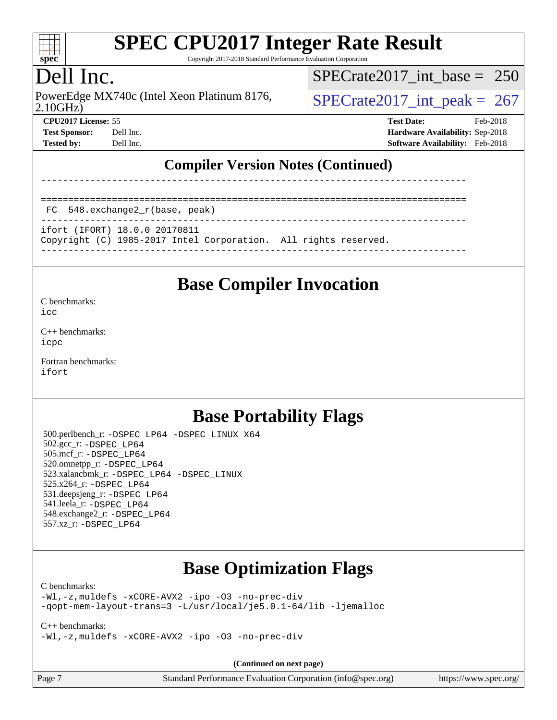

Copyright 2017-2018 Standard Performance Evaluation Corporation

## Dell Inc.

2.10GHz) PowerEdge MX740c (Intel Xeon Platinum 8176,  $\vert$  [SPECrate2017\\_int\\_peak =](http://www.spec.org/auto/cpu2017/Docs/result-fields.html#SPECrate2017intpeak) 267

[SPECrate2017\\_int\\_base =](http://www.spec.org/auto/cpu2017/Docs/result-fields.html#SPECrate2017intbase) 250

**[Tested by:](http://www.spec.org/auto/cpu2017/Docs/result-fields.html#Testedby)** Dell Inc. **[Software Availability:](http://www.spec.org/auto/cpu2017/Docs/result-fields.html#SoftwareAvailability)** Feb-2018

**[CPU2017 License:](http://www.spec.org/auto/cpu2017/Docs/result-fields.html#CPU2017License)** 55 **[Test Date:](http://www.spec.org/auto/cpu2017/Docs/result-fields.html#TestDate)** Feb-2018 **[Test Sponsor:](http://www.spec.org/auto/cpu2017/Docs/result-fields.html#TestSponsor)** Dell Inc. **[Hardware Availability:](http://www.spec.org/auto/cpu2017/Docs/result-fields.html#HardwareAvailability)** Sep-2018

### **[Compiler Version Notes \(Continued\)](http://www.spec.org/auto/cpu2017/Docs/result-fields.html#CompilerVersionNotes)**

==============================================================================

FC 548.exchange2\_r(base, peak)

```
------------------------------------------------------------------------------
ifort (IFORT) 18.0.0 20170811
```
Copyright (C) 1985-2017 Intel Corporation. All rights reserved.

------------------------------------------------------------------------------

------------------------------------------------------------------------------

### **[Base Compiler Invocation](http://www.spec.org/auto/cpu2017/Docs/result-fields.html#BaseCompilerInvocation)**

[C benchmarks](http://www.spec.org/auto/cpu2017/Docs/result-fields.html#Cbenchmarks): [icc](http://www.spec.org/cpu2017/results/res2018q4/cpu2017-20181001-08995.flags.html#user_CCbase_intel_icc_18.0_66fc1ee009f7361af1fbd72ca7dcefbb700085f36577c54f309893dd4ec40d12360134090235512931783d35fd58c0460139e722d5067c5574d8eaf2b3e37e92)

[C++ benchmarks:](http://www.spec.org/auto/cpu2017/Docs/result-fields.html#CXXbenchmarks) [icpc](http://www.spec.org/cpu2017/results/res2018q4/cpu2017-20181001-08995.flags.html#user_CXXbase_intel_icpc_18.0_c510b6838c7f56d33e37e94d029a35b4a7bccf4766a728ee175e80a419847e808290a9b78be685c44ab727ea267ec2f070ec5dc83b407c0218cded6866a35d07)

[Fortran benchmarks](http://www.spec.org/auto/cpu2017/Docs/result-fields.html#Fortranbenchmarks): [ifort](http://www.spec.org/cpu2017/results/res2018q4/cpu2017-20181001-08995.flags.html#user_FCbase_intel_ifort_18.0_8111460550e3ca792625aed983ce982f94888b8b503583aa7ba2b8303487b4d8a21a13e7191a45c5fd58ff318f48f9492884d4413fa793fd88dd292cad7027ca)

### **[Base Portability Flags](http://www.spec.org/auto/cpu2017/Docs/result-fields.html#BasePortabilityFlags)**

 500.perlbench\_r: [-DSPEC\\_LP64](http://www.spec.org/cpu2017/results/res2018q4/cpu2017-20181001-08995.flags.html#b500.perlbench_r_basePORTABILITY_DSPEC_LP64) [-DSPEC\\_LINUX\\_X64](http://www.spec.org/cpu2017/results/res2018q4/cpu2017-20181001-08995.flags.html#b500.perlbench_r_baseCPORTABILITY_DSPEC_LINUX_X64) 502.gcc\_r: [-DSPEC\\_LP64](http://www.spec.org/cpu2017/results/res2018q4/cpu2017-20181001-08995.flags.html#suite_basePORTABILITY502_gcc_r_DSPEC_LP64) 505.mcf\_r: [-DSPEC\\_LP64](http://www.spec.org/cpu2017/results/res2018q4/cpu2017-20181001-08995.flags.html#suite_basePORTABILITY505_mcf_r_DSPEC_LP64) 520.omnetpp\_r: [-DSPEC\\_LP64](http://www.spec.org/cpu2017/results/res2018q4/cpu2017-20181001-08995.flags.html#suite_basePORTABILITY520_omnetpp_r_DSPEC_LP64) 523.xalancbmk\_r: [-DSPEC\\_LP64](http://www.spec.org/cpu2017/results/res2018q4/cpu2017-20181001-08995.flags.html#suite_basePORTABILITY523_xalancbmk_r_DSPEC_LP64) [-DSPEC\\_LINUX](http://www.spec.org/cpu2017/results/res2018q4/cpu2017-20181001-08995.flags.html#b523.xalancbmk_r_baseCXXPORTABILITY_DSPEC_LINUX) 525.x264\_r: [-DSPEC\\_LP64](http://www.spec.org/cpu2017/results/res2018q4/cpu2017-20181001-08995.flags.html#suite_basePORTABILITY525_x264_r_DSPEC_LP64) 531.deepsjeng\_r: [-DSPEC\\_LP64](http://www.spec.org/cpu2017/results/res2018q4/cpu2017-20181001-08995.flags.html#suite_basePORTABILITY531_deepsjeng_r_DSPEC_LP64) 541.leela\_r: [-DSPEC\\_LP64](http://www.spec.org/cpu2017/results/res2018q4/cpu2017-20181001-08995.flags.html#suite_basePORTABILITY541_leela_r_DSPEC_LP64) 548.exchange2\_r: [-DSPEC\\_LP64](http://www.spec.org/cpu2017/results/res2018q4/cpu2017-20181001-08995.flags.html#suite_basePORTABILITY548_exchange2_r_DSPEC_LP64) 557.xz\_r: [-DSPEC\\_LP64](http://www.spec.org/cpu2017/results/res2018q4/cpu2017-20181001-08995.flags.html#suite_basePORTABILITY557_xz_r_DSPEC_LP64)

## **[Base Optimization Flags](http://www.spec.org/auto/cpu2017/Docs/result-fields.html#BaseOptimizationFlags)**

#### [C benchmarks](http://www.spec.org/auto/cpu2017/Docs/result-fields.html#Cbenchmarks):

[-Wl,-z,muldefs](http://www.spec.org/cpu2017/results/res2018q4/cpu2017-20181001-08995.flags.html#user_CCbase_link_force_multiple1_b4cbdb97b34bdee9ceefcfe54f4c8ea74255f0b02a4b23e853cdb0e18eb4525ac79b5a88067c842dd0ee6996c24547a27a4b99331201badda8798ef8a743f577) [-xCORE-AVX2](http://www.spec.org/cpu2017/results/res2018q4/cpu2017-20181001-08995.flags.html#user_CCbase_f-xCORE-AVX2) [-ipo](http://www.spec.org/cpu2017/results/res2018q4/cpu2017-20181001-08995.flags.html#user_CCbase_f-ipo) [-O3](http://www.spec.org/cpu2017/results/res2018q4/cpu2017-20181001-08995.flags.html#user_CCbase_f-O3) [-no-prec-div](http://www.spec.org/cpu2017/results/res2018q4/cpu2017-20181001-08995.flags.html#user_CCbase_f-no-prec-div) [-qopt-mem-layout-trans=3](http://www.spec.org/cpu2017/results/res2018q4/cpu2017-20181001-08995.flags.html#user_CCbase_f-qopt-mem-layout-trans_de80db37974c74b1f0e20d883f0b675c88c3b01e9d123adea9b28688d64333345fb62bc4a798493513fdb68f60282f9a726aa07f478b2f7113531aecce732043) [-L/usr/local/je5.0.1-64/lib](http://www.spec.org/cpu2017/results/res2018q4/cpu2017-20181001-08995.flags.html#user_CCbase_jemalloc_link_path64_4b10a636b7bce113509b17f3bd0d6226c5fb2346b9178c2d0232c14f04ab830f976640479e5c33dc2bcbbdad86ecfb6634cbbd4418746f06f368b512fced5394) [-ljemalloc](http://www.spec.org/cpu2017/results/res2018q4/cpu2017-20181001-08995.flags.html#user_CCbase_jemalloc_link_lib_d1249b907c500fa1c0672f44f562e3d0f79738ae9e3c4a9c376d49f265a04b9c99b167ecedbf6711b3085be911c67ff61f150a17b3472be731631ba4d0471706)

[C++ benchmarks:](http://www.spec.org/auto/cpu2017/Docs/result-fields.html#CXXbenchmarks)

[-Wl,-z,muldefs](http://www.spec.org/cpu2017/results/res2018q4/cpu2017-20181001-08995.flags.html#user_CXXbase_link_force_multiple1_b4cbdb97b34bdee9ceefcfe54f4c8ea74255f0b02a4b23e853cdb0e18eb4525ac79b5a88067c842dd0ee6996c24547a27a4b99331201badda8798ef8a743f577) [-xCORE-AVX2](http://www.spec.org/cpu2017/results/res2018q4/cpu2017-20181001-08995.flags.html#user_CXXbase_f-xCORE-AVX2) [-ipo](http://www.spec.org/cpu2017/results/res2018q4/cpu2017-20181001-08995.flags.html#user_CXXbase_f-ipo) [-O3](http://www.spec.org/cpu2017/results/res2018q4/cpu2017-20181001-08995.flags.html#user_CXXbase_f-O3) [-no-prec-div](http://www.spec.org/cpu2017/results/res2018q4/cpu2017-20181001-08995.flags.html#user_CXXbase_f-no-prec-div)

**(Continued on next page)**

| Page 7 | Standard Performance Evaluation Corporation (info@spec.org) | https://www.spec.org/ |
|--------|-------------------------------------------------------------|-----------------------|
|--------|-------------------------------------------------------------|-----------------------|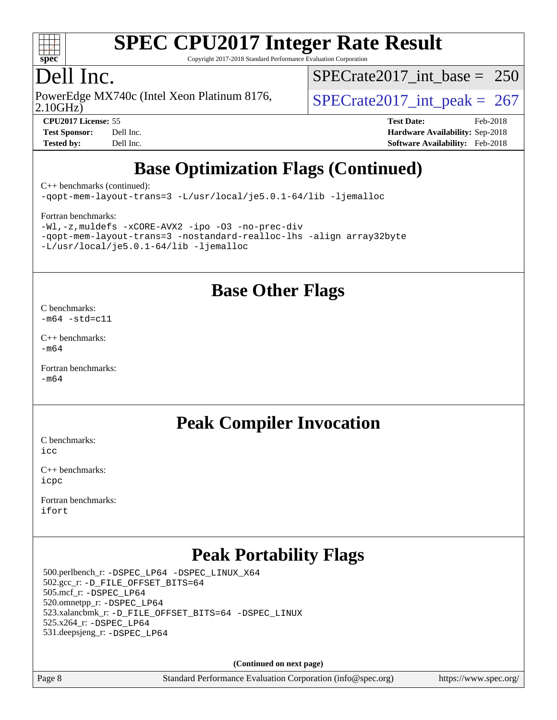

Copyright 2017-2018 Standard Performance Evaluation Corporation

### Dell Inc.

PowerEdge MX740c (Intel Xeon Platinum 8176,<br>2.10GHz)

[SPECrate2017\\_int\\_base =](http://www.spec.org/auto/cpu2017/Docs/result-fields.html#SPECrate2017intbase) 250

 $SPECTate 2017\_int\_peak = 267$ **[CPU2017 License:](http://www.spec.org/auto/cpu2017/Docs/result-fields.html#CPU2017License)** 55 **[Test Date:](http://www.spec.org/auto/cpu2017/Docs/result-fields.html#TestDate)** Feb-2018

**[Test Sponsor:](http://www.spec.org/auto/cpu2017/Docs/result-fields.html#TestSponsor)** Dell Inc. **[Hardware Availability:](http://www.spec.org/auto/cpu2017/Docs/result-fields.html#HardwareAvailability)** Sep-2018 **[Tested by:](http://www.spec.org/auto/cpu2017/Docs/result-fields.html#Testedby)** Dell Inc. **[Software Availability:](http://www.spec.org/auto/cpu2017/Docs/result-fields.html#SoftwareAvailability)** Feb-2018

## **[Base Optimization Flags \(Continued\)](http://www.spec.org/auto/cpu2017/Docs/result-fields.html#BaseOptimizationFlags)**

[C++ benchmarks](http://www.spec.org/auto/cpu2017/Docs/result-fields.html#CXXbenchmarks) (continued):

[-qopt-mem-layout-trans=3](http://www.spec.org/cpu2017/results/res2018q4/cpu2017-20181001-08995.flags.html#user_CXXbase_f-qopt-mem-layout-trans_de80db37974c74b1f0e20d883f0b675c88c3b01e9d123adea9b28688d64333345fb62bc4a798493513fdb68f60282f9a726aa07f478b2f7113531aecce732043) [-L/usr/local/je5.0.1-64/lib](http://www.spec.org/cpu2017/results/res2018q4/cpu2017-20181001-08995.flags.html#user_CXXbase_jemalloc_link_path64_4b10a636b7bce113509b17f3bd0d6226c5fb2346b9178c2d0232c14f04ab830f976640479e5c33dc2bcbbdad86ecfb6634cbbd4418746f06f368b512fced5394) [-ljemalloc](http://www.spec.org/cpu2017/results/res2018q4/cpu2017-20181001-08995.flags.html#user_CXXbase_jemalloc_link_lib_d1249b907c500fa1c0672f44f562e3d0f79738ae9e3c4a9c376d49f265a04b9c99b167ecedbf6711b3085be911c67ff61f150a17b3472be731631ba4d0471706)

#### [Fortran benchmarks](http://www.spec.org/auto/cpu2017/Docs/result-fields.html#Fortranbenchmarks):

[-Wl,-z,muldefs](http://www.spec.org/cpu2017/results/res2018q4/cpu2017-20181001-08995.flags.html#user_FCbase_link_force_multiple1_b4cbdb97b34bdee9ceefcfe54f4c8ea74255f0b02a4b23e853cdb0e18eb4525ac79b5a88067c842dd0ee6996c24547a27a4b99331201badda8798ef8a743f577) [-xCORE-AVX2](http://www.spec.org/cpu2017/results/res2018q4/cpu2017-20181001-08995.flags.html#user_FCbase_f-xCORE-AVX2) [-ipo](http://www.spec.org/cpu2017/results/res2018q4/cpu2017-20181001-08995.flags.html#user_FCbase_f-ipo) [-O3](http://www.spec.org/cpu2017/results/res2018q4/cpu2017-20181001-08995.flags.html#user_FCbase_f-O3) [-no-prec-div](http://www.spec.org/cpu2017/results/res2018q4/cpu2017-20181001-08995.flags.html#user_FCbase_f-no-prec-div) [-qopt-mem-layout-trans=3](http://www.spec.org/cpu2017/results/res2018q4/cpu2017-20181001-08995.flags.html#user_FCbase_f-qopt-mem-layout-trans_de80db37974c74b1f0e20d883f0b675c88c3b01e9d123adea9b28688d64333345fb62bc4a798493513fdb68f60282f9a726aa07f478b2f7113531aecce732043) [-nostandard-realloc-lhs](http://www.spec.org/cpu2017/results/res2018q4/cpu2017-20181001-08995.flags.html#user_FCbase_f_2003_std_realloc_82b4557e90729c0f113870c07e44d33d6f5a304b4f63d4c15d2d0f1fab99f5daaed73bdb9275d9ae411527f28b936061aa8b9c8f2d63842963b95c9dd6426b8a) [-align array32byte](http://www.spec.org/cpu2017/results/res2018q4/cpu2017-20181001-08995.flags.html#user_FCbase_align_array32byte_b982fe038af199962ba9a80c053b8342c548c85b40b8e86eb3cc33dee0d7986a4af373ac2d51c3f7cf710a18d62fdce2948f201cd044323541f22fc0fffc51b6) [-L/usr/local/je5.0.1-64/lib](http://www.spec.org/cpu2017/results/res2018q4/cpu2017-20181001-08995.flags.html#user_FCbase_jemalloc_link_path64_4b10a636b7bce113509b17f3bd0d6226c5fb2346b9178c2d0232c14f04ab830f976640479e5c33dc2bcbbdad86ecfb6634cbbd4418746f06f368b512fced5394) [-ljemalloc](http://www.spec.org/cpu2017/results/res2018q4/cpu2017-20181001-08995.flags.html#user_FCbase_jemalloc_link_lib_d1249b907c500fa1c0672f44f562e3d0f79738ae9e3c4a9c376d49f265a04b9c99b167ecedbf6711b3085be911c67ff61f150a17b3472be731631ba4d0471706)

### **[Base Other Flags](http://www.spec.org/auto/cpu2017/Docs/result-fields.html#BaseOtherFlags)**

[C benchmarks](http://www.spec.org/auto/cpu2017/Docs/result-fields.html#Cbenchmarks):  $-m64$   $-std=cl1$ 

[C++ benchmarks:](http://www.spec.org/auto/cpu2017/Docs/result-fields.html#CXXbenchmarks) [-m64](http://www.spec.org/cpu2017/results/res2018q4/cpu2017-20181001-08995.flags.html#user_CXXbase_intel_intel64_18.0_af43caccfc8ded86e7699f2159af6efc7655f51387b94da716254467f3c01020a5059329e2569e4053f409e7c9202a7efc638f7a6d1ffb3f52dea4a3e31d82ab)

[Fortran benchmarks](http://www.spec.org/auto/cpu2017/Docs/result-fields.html#Fortranbenchmarks): [-m64](http://www.spec.org/cpu2017/results/res2018q4/cpu2017-20181001-08995.flags.html#user_FCbase_intel_intel64_18.0_af43caccfc8ded86e7699f2159af6efc7655f51387b94da716254467f3c01020a5059329e2569e4053f409e7c9202a7efc638f7a6d1ffb3f52dea4a3e31d82ab)

### **[Peak Compiler Invocation](http://www.spec.org/auto/cpu2017/Docs/result-fields.html#PeakCompilerInvocation)**

[C benchmarks](http://www.spec.org/auto/cpu2017/Docs/result-fields.html#Cbenchmarks): [icc](http://www.spec.org/cpu2017/results/res2018q4/cpu2017-20181001-08995.flags.html#user_CCpeak_intel_icc_18.0_66fc1ee009f7361af1fbd72ca7dcefbb700085f36577c54f309893dd4ec40d12360134090235512931783d35fd58c0460139e722d5067c5574d8eaf2b3e37e92)

[C++ benchmarks:](http://www.spec.org/auto/cpu2017/Docs/result-fields.html#CXXbenchmarks) [icpc](http://www.spec.org/cpu2017/results/res2018q4/cpu2017-20181001-08995.flags.html#user_CXXpeak_intel_icpc_18.0_c510b6838c7f56d33e37e94d029a35b4a7bccf4766a728ee175e80a419847e808290a9b78be685c44ab727ea267ec2f070ec5dc83b407c0218cded6866a35d07)

[Fortran benchmarks](http://www.spec.org/auto/cpu2017/Docs/result-fields.html#Fortranbenchmarks): [ifort](http://www.spec.org/cpu2017/results/res2018q4/cpu2017-20181001-08995.flags.html#user_FCpeak_intel_ifort_18.0_8111460550e3ca792625aed983ce982f94888b8b503583aa7ba2b8303487b4d8a21a13e7191a45c5fd58ff318f48f9492884d4413fa793fd88dd292cad7027ca)

### **[Peak Portability Flags](http://www.spec.org/auto/cpu2017/Docs/result-fields.html#PeakPortabilityFlags)**

 500.perlbench\_r: [-DSPEC\\_LP64](http://www.spec.org/cpu2017/results/res2018q4/cpu2017-20181001-08995.flags.html#b500.perlbench_r_peakPORTABILITY_DSPEC_LP64) [-DSPEC\\_LINUX\\_X64](http://www.spec.org/cpu2017/results/res2018q4/cpu2017-20181001-08995.flags.html#b500.perlbench_r_peakCPORTABILITY_DSPEC_LINUX_X64) 502.gcc\_r: [-D\\_FILE\\_OFFSET\\_BITS=64](http://www.spec.org/cpu2017/results/res2018q4/cpu2017-20181001-08995.flags.html#user_peakPORTABILITY502_gcc_r_file_offset_bits_64_5ae949a99b284ddf4e95728d47cb0843d81b2eb0e18bdfe74bbf0f61d0b064f4bda2f10ea5eb90e1dcab0e84dbc592acfc5018bc955c18609f94ddb8d550002c) 505.mcf\_r: [-DSPEC\\_LP64](http://www.spec.org/cpu2017/results/res2018q4/cpu2017-20181001-08995.flags.html#suite_peakPORTABILITY505_mcf_r_DSPEC_LP64) 520.omnetpp\_r: [-DSPEC\\_LP64](http://www.spec.org/cpu2017/results/res2018q4/cpu2017-20181001-08995.flags.html#suite_peakPORTABILITY520_omnetpp_r_DSPEC_LP64) 523.xalancbmk\_r: [-D\\_FILE\\_OFFSET\\_BITS=64](http://www.spec.org/cpu2017/results/res2018q4/cpu2017-20181001-08995.flags.html#user_peakPORTABILITY523_xalancbmk_r_file_offset_bits_64_5ae949a99b284ddf4e95728d47cb0843d81b2eb0e18bdfe74bbf0f61d0b064f4bda2f10ea5eb90e1dcab0e84dbc592acfc5018bc955c18609f94ddb8d550002c) [-DSPEC\\_LINUX](http://www.spec.org/cpu2017/results/res2018q4/cpu2017-20181001-08995.flags.html#b523.xalancbmk_r_peakCXXPORTABILITY_DSPEC_LINUX) 525.x264\_r: [-DSPEC\\_LP64](http://www.spec.org/cpu2017/results/res2018q4/cpu2017-20181001-08995.flags.html#suite_peakPORTABILITY525_x264_r_DSPEC_LP64) 531.deepsjeng\_r: [-DSPEC\\_LP64](http://www.spec.org/cpu2017/results/res2018q4/cpu2017-20181001-08995.flags.html#suite_peakPORTABILITY531_deepsjeng_r_DSPEC_LP64)

**(Continued on next page)**

Page 8 Standard Performance Evaluation Corporation [\(info@spec.org\)](mailto:info@spec.org) <https://www.spec.org/>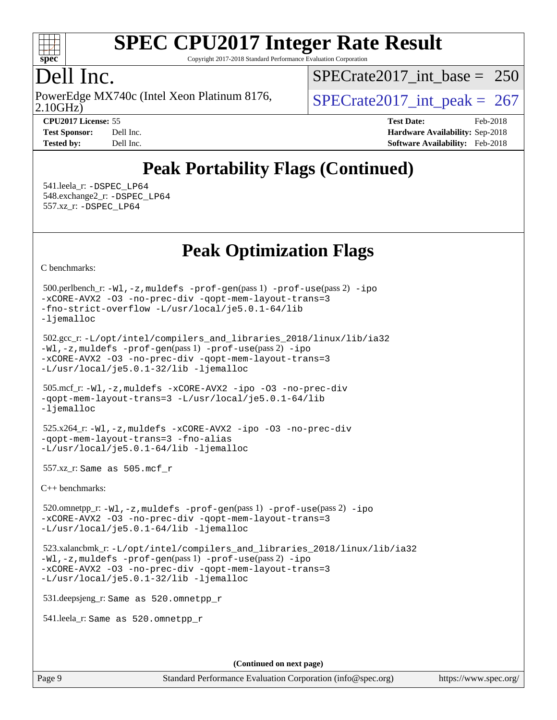

Copyright 2017-2018 Standard Performance Evaluation Corporation

### Dell Inc.

2.10GHz) PowerEdge MX740c (Intel Xeon Platinum 8176,  $\vert$  [SPECrate2017\\_int\\_peak =](http://www.spec.org/auto/cpu2017/Docs/result-fields.html#SPECrate2017intpeak) 267

[SPECrate2017\\_int\\_base =](http://www.spec.org/auto/cpu2017/Docs/result-fields.html#SPECrate2017intbase) 250

**[Tested by:](http://www.spec.org/auto/cpu2017/Docs/result-fields.html#Testedby)** Dell Inc. **[Software Availability:](http://www.spec.org/auto/cpu2017/Docs/result-fields.html#SoftwareAvailability)** Feb-2018

**[CPU2017 License:](http://www.spec.org/auto/cpu2017/Docs/result-fields.html#CPU2017License)** 55 **[Test Date:](http://www.spec.org/auto/cpu2017/Docs/result-fields.html#TestDate)** Feb-2018 **[Test Sponsor:](http://www.spec.org/auto/cpu2017/Docs/result-fields.html#TestSponsor)** Dell Inc. **[Hardware Availability:](http://www.spec.org/auto/cpu2017/Docs/result-fields.html#HardwareAvailability)** Sep-2018

## **[Peak Portability Flags \(Continued\)](http://www.spec.org/auto/cpu2017/Docs/result-fields.html#PeakPortabilityFlags)**

 541.leela\_r: [-DSPEC\\_LP64](http://www.spec.org/cpu2017/results/res2018q4/cpu2017-20181001-08995.flags.html#suite_peakPORTABILITY541_leela_r_DSPEC_LP64) 548.exchange2\_r: [-DSPEC\\_LP64](http://www.spec.org/cpu2017/results/res2018q4/cpu2017-20181001-08995.flags.html#suite_peakPORTABILITY548_exchange2_r_DSPEC_LP64) 557.xz\_r: [-DSPEC\\_LP64](http://www.spec.org/cpu2017/results/res2018q4/cpu2017-20181001-08995.flags.html#suite_peakPORTABILITY557_xz_r_DSPEC_LP64)

## **[Peak Optimization Flags](http://www.spec.org/auto/cpu2017/Docs/result-fields.html#PeakOptimizationFlags)**

[C benchmarks](http://www.spec.org/auto/cpu2017/Docs/result-fields.html#Cbenchmarks):

```
 500.perlbench_r: -Wl,-z,muldefs -prof-gen(pass 1) -prof-use(pass 2) -ipo
-xCORE-AVX2 -O3 -no-prec-div -qopt-mem-layout-trans=3
-fno-strict-overflow -L/usr/local/je5.0.1-64/lib
-ljemalloc
 502.gcc_r: -L/opt/intel/compilers_and_libraries_2018/linux/lib/ia32
-Wl,-z,muldefs -prof-gen(pass 1) -prof-use(pass 2) -ipo
-xCORE-AVX2 -O3 -no-prec-div -qopt-mem-layout-trans=3
-L/usr/local/je5.0.1-32/lib -ljemalloc
 505.mcf_r: -Wl,-z,muldefs -xCORE-AVX2 -ipo -O3 -no-prec-div
-qopt-mem-layout-trans=3 -L/usr/local/je5.0.1-64/lib
-ljemalloc
 525.x264_r: -Wl,-z,muldefs -xCORE-AVX2 -ipo -O3 -no-prec-div
-qopt-mem-layout-trans=3 -fno-alias
-L/usr/local/je5.0.1-64/lib -ljemalloc
 557.xz_r: Same as 505.mcf_r
C++ benchmarks: 
 520.omnetpp_r: -Wl,-z,muldefs -prof-gen(pass 1) -prof-use(pass 2) -ipo
-xCORE-AVX2 -O3 -no-prec-div -qopt-mem-layout-trans=3
-L/usr/local/je5.0.1-64/lib -ljemalloc
 523.xalancbmk_r: -L/opt/intel/compilers_and_libraries_2018/linux/lib/ia32
-Wl,-z,muldefs -prof-gen(pass 1) -prof-use(pass 2) -ipo
-xCORE-AVX2 -O3 -no-prec-div -qopt-mem-layout-trans=3
-L/usr/local/je5.0.1-32/lib -ljemalloc
 531.deepsjeng_r: Same as 520.omnetpp_r
 541.leela_r: Same as 520.omnetpp_r
```
**(Continued on next page)**